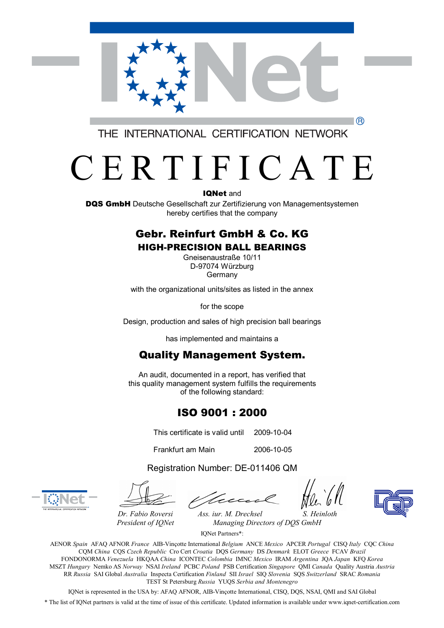

THE INTERNATIONAL CERTIFICATION NETWORK

# C E R T I F I C A T E

IQNet and

DQS GmbH Deutsche Gesellschaft zur Zertifizierung von Managementsystemen hereby certifies that the company

#### Gebr. Reinfurt GmbH & Co. KG HIGH-PRECISION BALL BEARINGS

Gneisenaustraße 10/11 D-97074 Würzburg Germany

with the organizational units/sites as listed in the annex

for the scope

Design, production and sales of high precision ball bearings

has implemented and maintains a

### Quality Management System.

An audit, documented in a report, has verified that this quality management system fulfills the requirements of the following standard:

### ISO 9001 : 2000

This certificate is valid until 2009-10-04

Frankfurt am Main 2006-10-05

Registration Number: DE-011406 QM





*Dr. Fabio Roversi Ass. iur. M. Drechsel S. Heinloth President of IQNet Managing Directors of DQS GmbH* 

IQNet Partners\*:

AENOR *Spain* AFAQ AFNOR *France* AIB-Vinçotte International *Belgium* ANCE *Mexico* APCER *Portugal* CISQ *Italy* CQC *China*  CQM *China* CQS *Czech Republic* Cro Cert *Croatia* DQS *Germany* DS *Denmark* ELOT *Greece* FCAV *Brazil*  FONDONORMA *Venezuela* HKQAA *China* ICONTEC *Colombia* IMNC *Mexico* IRAM *Argentina* JQA *Japan* KFQ *Korea*  MSZT *Hungary* Nemko AS *Norway* NSAI *Ireland* PCBC *Poland* PSB Certification *Singapore* QMI *Canada* Quality Austria *Austria* RR *Russia* SAI Global *Australia* Inspecta Certification *Finland* SII *Israel* SIQ *Slovenia* SQS *Switzerland* SRAC *Romania*  TEST St Petersburg *Russia* YUQS *Serbia and Montenegro* 

IQNet is represented in the USA by: AFAQ AFNOR, AIB-Vinçotte International, CISQ, DQS, NSAI, QMI and SAI Global

\* The list of IQNet partners is valid at the time of issue of this certificate. Updated information is available under [www.iqnet-certification.com](http://www.iqnet-certification.com)